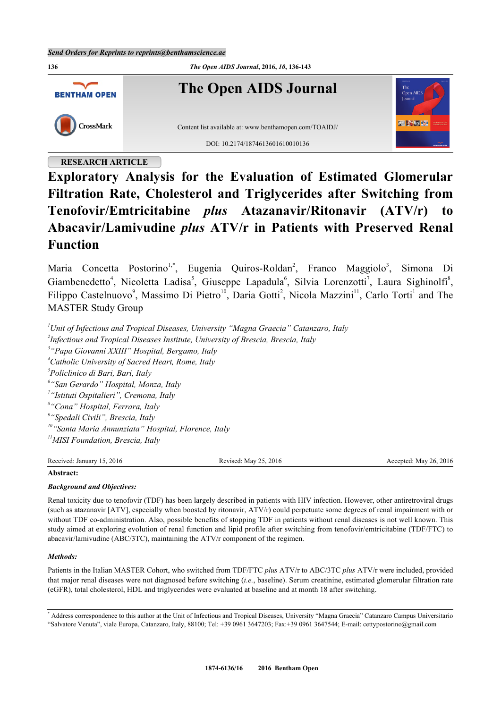

# **RESEARCH ARTICLE**

# **Exploratory Analysis for the Evaluation of Estimated Glomerular Filtration Rate, Cholesterol and Triglycerides after Switching from Tenofovir/Emtricitabine** *plus* **Atazanavir/Ritonavir (ATV/r) to Abacavir/Lamivudine** *plus* **ATV/r in Patients with Preserved Renal Function**

Maria Concetta Postorino<sup>[1](#page-0-0),[\\*](#page-0-1)</sup>, Eugenia Quiros-Roldan<sup>[2](#page-0-2)</sup>, Franco Maggiolo<sup>[3](#page-0-3)</sup>, Simona Di Giambenedetto<sup>[4](#page-0-4)</sup>, Nicoletta Ladisa<sup>[5](#page-0-5)</sup>, Giuseppe Lapadula<sup>[6](#page-0-6)</sup>, Silvia Lorenzotti<sup>[7](#page-0-7)</sup>, Laura Sighinolfi<sup>[8](#page-0-8)</sup>, Filippo Castelnuovo<sup>[9](#page-0-9)</sup>, Massimo Di Pietro<sup>[10](#page-0-10)</sup>, Daria Gotti<sup>[2](#page-0-2)</sup>, Nicola Mazzini<sup>[11](#page-0-11)</sup>, Carlo Torti<sup>[1](#page-0-0)</sup> and The MASTER Study Group

<span id="page-0-7"></span><span id="page-0-6"></span><span id="page-0-5"></span><span id="page-0-4"></span><span id="page-0-3"></span><span id="page-0-2"></span><span id="page-0-0"></span>*Unit of Infectious and Tropical Diseases, University "Magna Graecia" Catanzaro, Italy Infectious and Tropical Diseases Institute, University of Brescia, Brescia, Italy "Papa Giovanni XXIII" Hospital, Bergamo, Italy Catholic University of Sacred Heart, Rome, Italy Policlinico di Bari, Bari, Italy "San Gerardo" Hospital, Monza, Italy "Istituti Ospitalieri", Cremona, Italy "Cona" Hospital, Ferrara, Italy "Spedali Civili", Brescia, Italy "Santa Maria Annunziata" Hospital, Florence, Italy MISI Foundation, Brescia, Italy*

<span id="page-0-11"></span><span id="page-0-10"></span><span id="page-0-9"></span><span id="page-0-8"></span>Received: January 15, 2016 Revised: May 25, 2016 Revised: May 25, 2016 Accepted: May 26, 2016

## **Abstract:**

# *Background and Objectives:*

Renal toxicity due to tenofovir (TDF) has been largely described in patients with HIV infection. However, other antiretroviral drugs (such as atazanavir [ATV], especially when boosted by ritonavir, ATV/r) could perpetuate some degrees of renal impairment with or without TDF co-administration. Also, possible benefits of stopping TDF in patients without renal diseases is not well known. This study aimed at exploring evolution of renal function and lipid profile after switching from tenofovir/emtricitabine (TDF/FTC) to abacavir/lamivudine (ABC/3TC), maintaining the ATV/r component of the regimen.

## *Methods:*

Patients in the Italian MASTER Cohort, who switched from TDF/FTC *plus* ATV/r to ABC/3TC *plus* ATV/r were included, provided that major renal diseases were not diagnosed before switching (*i.e.*, baseline). Serum creatinine, estimated glomerular filtration rate (eGFR), total cholesterol, HDL and triglycerides were evaluated at baseline and at month 18 after switching.

<span id="page-0-1"></span>\* Address correspondence to this author at the Unit of Infectious and Tropical Diseases, University "Magna Graecia" Catanzaro Campus Universitario "Salvatore Venuta", viale Europa, Catanzaro, Italy, 88100; Tel: +39 0961 3647203; Fax:+39 0961 3647544; E-mail: [cettypostorino@gmail.com](mailto:cettypostorino@gmail.com)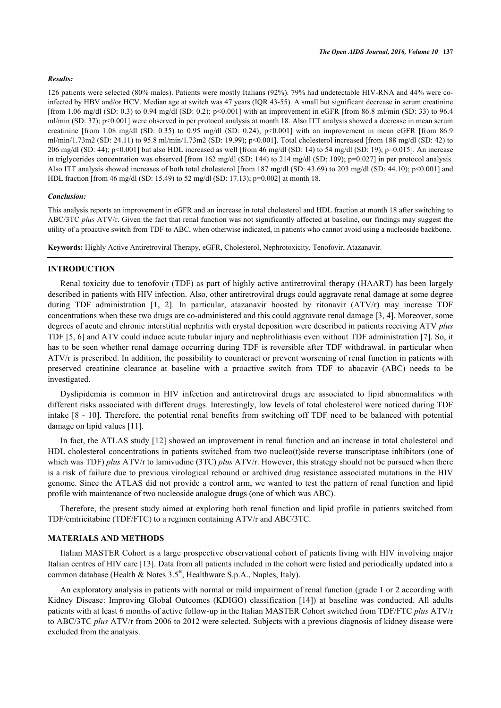#### *Results:*

126 patients were selected (80% males). Patients were mostly Italians (92%). 79% had undetectable HIV-RNA and 44% were coinfected by HBV and/or HCV. Median age at switch was 47 years (IQR 43-55). A small but significant decrease in serum creatinine [from 1.06 mg/dl (SD: 0.3) to 0.94 mg/dl (SD: 0.2); p<0.001] with an improvement in eGFR [from 86.8 ml/min (SD: 33) to 96.4 ml/min (SD: 37); p<0.001] were observed in per protocol analysis at month 18. Also ITT analysis showed a decrease in mean serum creatinine [from 1.08 mg/dl (SD: 0.35) to 0.95 mg/dl (SD: 0.24); p<0.001] with an improvement in mean eGFR [from 86.9 ml/min/1.73m2 (SD: 24.11) to 95.8 ml/min/1.73m2 (SD: 19.99); p<0.001]. Total cholesterol increased [from 188 mg/dl (SD: 42) to 206 mg/dl (SD: 44); p<0.001] but also HDL increased as well [from 46 mg/dl (SD: 14) to 54 mg/dl (SD: 19); p=0.015]. An increase in triglycerides concentration was observed [from 162 mg/dl (SD: 144) to 214 mg/dl (SD: 109); p=0.027] in per protocol analysis. Also ITT analysis showed increases of both total cholesterol [from 187 mg/dl (SD: 43.69) to 203 mg/dl (SD: 44.10); p<0.001] and HDL fraction [from 46 mg/dl (SD: 15.49) to 52 mg/dl (SD: 17.13); p=0.002] at month 18.

#### *Conclusion:*

This analysis reports an improvement in eGFR and an increase in total cholesterol and HDL fraction at month 18 after switching to ABC/3TC *plus* ATV/r. Given the fact that renal function was not significantly affected at baseline, our findings may suggest the utility of a proactive switch from TDF to ABC, when otherwise indicated, in patients who cannot avoid using a nucleoside backbone.

**Keywords:** Highly Active Antiretroviral Therapy, eGFR, Cholesterol, Nephrotoxicity, Tenofovir, Atazanavir.

#### **INTRODUCTION**

Renal toxicity due to tenofovir (TDF) as part of highly active antiretroviral therapy (HAART) has been largely described in patients with HIV infection. Also, other antiretroviral drugs could aggravate renal damage at some degree during TDF administration [\[1,](#page-5-0) [2\]](#page-6-0). In particular, atazanavir boosted by ritonavir (ATV/r) may increase TDF concentrations when these two drugs are co-administered and this could aggravate renal damage [\[3](#page-6-1), [4](#page-6-2)]. Moreover, some degrees of acute and chronic interstitial nephritis with crystal deposition were described in patients receiving ATV *plus* TDF [[5,](#page-6-3) [6](#page-6-4)] and ATV could induce acute tubular injury and nephrolithiasis even without TDF administration [\[7](#page-6-5)]. So, it has to be seen whether renal damage occurring during TDF is reversible after TDF withdrawal, in particular when ATV/r is prescribed. In addition, the possibility to counteract or prevent worsening of renal function in patients with preserved creatinine clearance at baseline with a proactive switch from TDF to abacavir (ABC) needs to be investigated.

Dyslipidemia is common in HIV infection and antiretroviral drugs are associated to lipid abnormalities with different risks associated with different drugs. Interestingly, low levels of total cholesterol were noticed during TDF intake [[8](#page-6-6) - [10\]](#page-6-7). Therefore, the potential renal benefits from switching off TDF need to be balanced with potential damage on lipid values [\[11](#page-6-8)].

In fact, the ATLAS study [\[12](#page-6-9)] showed an improvement in renal function and an increase in total cholesterol and HDL cholesterol concentrations in patients switched from two nucleo(t)side reverse transcriptase inhibitors (one of which was TDF) *plus* ATV/r to lamivudine (3TC) *plus* ATV/r. However, this strategy should not be pursued when there is a risk of failure due to previous virological rebound or archived drug resistance associated mutations in the HIV genome. Since the ATLAS did not provide a control arm, we wanted to test the pattern of renal function and lipid profile with maintenance of two nucleoside analogue drugs (one of which was ABC).

Therefore, the present study aimed at exploring both renal function and lipid profile in patients switched from TDF/emtricitabine (TDF/FTC) to a regimen containing ATV/r and ABC/3TC.

## **MATERIALS AND METHODS**

Italian MASTER Cohort is a large prospective observational cohort of patients living with HIV involving major Italian centres of HIV care [[13\]](#page-6-10). Data from all patients included in the cohort were listed and periodically updated into a common database (Health & Notes 3.5® , Healthware S.p.A., Naples, Italy).

An exploratory analysis in patients with normal or mild impairment of renal function (grade 1 or 2 according with Kidney Disease: Improving Global Outcomes (KDIGO) classification[[14\]](#page-6-11)) at baseline was conducted. All adults patients with at least 6 months of active follow-up in the Italian MASTER Cohort switched from TDF/FTC *plus* ATV/r to ABC/3TC *plus* ATV/r from 2006 to 2012 were selected. Subjects with a previous diagnosis of kidney disease were excluded from the analysis.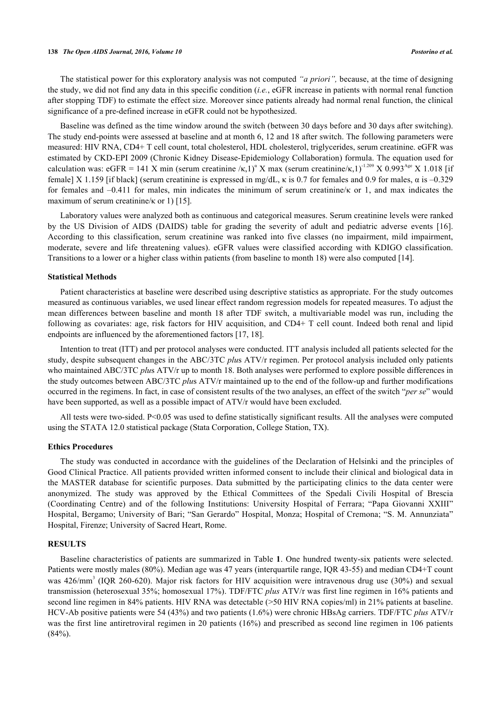#### **138** *The Open AIDS Journal, 2016, Volume 10 Postorino et al.*

The statistical power for this exploratory analysis was not computed *"a priori",* because, at the time of designing the study, we did not find any data in this specific condition (*i.e.*, eGFR increase in patients with normal renal function after stopping TDF) to estimate the effect size. Moreover since patients already had normal renal function, the clinical significance of a pre-defined increase in eGFR could not be hypothesized.

Baseline was defined as the time window around the switch (between 30 days before and 30 days after switching). The study end-points were assessed at baseline and at month 6, 12 and 18 after switch. The following parameters were measured: HIV RNA, CD4+ T cell count, total cholesterol, HDL cholesterol, triglycerides, serum creatinine. eGFR was estimated by CKD-EPI 2009 (Chronic Kidney Disease-Epidemiology Collaboration) formula. The equation used for calculation was: eGFR = 141 X min (serum creatinine / $\kappa$ ,1)<sup>a</sup> X max (serum creatinine/ $\kappa$ ,1)<sup>-1.209</sup> X 0.993<sup>Age</sup> X 1.018 [if female] X 1.159 [if black] (serum creatinine is expressed in mg/dL, κ is 0.7 for females and 0.9 for males, α is –0.329 for females and –0.411 for males, min indicates the minimum of serum creatinine/κ or 1, and max indicates the maximum of serum creatinine/ $\kappa$  or 1) [\[15](#page-6-12)].

Laboratory values were analyzed both as continuous and categorical measures. Serum creatinine levels were ranked by the US Division of AIDS (DAIDS) table for grading the severity of adult and pediatric adverse events [\[16\]](#page-6-13). According to this classification, serum creatinine was ranked into five classes (no impairment, mild impairment, moderate, severe and life threatening values). eGFR values were classified according with KDIGO classification. Transitions to a lower or a higher class within patients (from baseline to month 18) were also computed [[14\]](#page-6-11).

#### **Statistical Methods**

Patient characteristics at baseline were described using descriptive statistics as appropriate. For the study outcomes measured as continuous variables, we used linear effect random regression models for repeated measures. To adjust the mean differences between baseline and month 18 after TDF switch, a multivariable model was run, including the following as covariates: age, risk factors for HIV acquisition, and CD4+ T cell count. Indeed both renal and lipid endpoints are influenced by the aforementioned factors [\[17](#page-6-14), [18](#page-6-15)].

Intention to treat (ITT) and per protocol analyses were conducted. ITT analysis included all patients selected for the study, despite subsequent changes in the ABC/3TC *plu*s ATV/r regimen. Per protocol analysis included only patients who maintained ABC/3TC *plus* ATV/r up to month 18. Both analyses were performed to explore possible differences in the study outcomes between ABC/3TC *plu*s ATV/r maintained up to the end of the follow-up and further modifications occurred in the regimens. In fact, in case of consistent results of the two analyses, an effect of the switch "*per se*" would have been supported, as well as a possible impact of ATV/r would have been excluded.

All tests were two-sided. P<0.05 was used to define statistically significant results. All the analyses were computed using the STATA 12.0 statistical package (Stata Corporation, College Station, TX).

#### **Ethics Procedures**

The study was conducted in accordance with the guidelines of the Declaration of Helsinki and the principles of Good Clinical Practice. All patients provided written informed consent to include their clinical and biological data in the MASTER database for scientific purposes. Data submitted by the participating clinics to the data center were anonymized. The study was approved by the Ethical Committees of the Spedali Civili Hospital of Brescia (Coordinating Centre) and of the following Institutions: University Hospital of Ferrara; "Papa Giovanni XXIII" Hospital, Bergamo; University of Bari; "San Gerardo" Hospital, Monza; Hospital of Cremona; "S. M. Annunziata" Hospital, Firenze; University of Sacred Heart, Rome.

#### **RESULTS**

<span id="page-2-0"></span>Baseline characteristics of patients are summarized in Table **[1](#page-2-0)**. One hundred twenty-six patients were selected. Patients were mostly males (80%). Median age was 47 years (interquartile range, IQR 43-55) and median CD4+T count was 426/mm<sup>3</sup> (IQR 260-620). Major risk factors for HIV acquisition were intravenous drug use (30%) and sexual transmission (heterosexual 35%; homosexual 17%). TDF/FTC *plus* ATV/r was first line regimen in 16% patients and second line regimen in 84% patients. HIV RNA was detectable (>50 HIV RNA copies/ml) in 21% patients at baseline. HCV-Ab positive patients were 54 (43%) and two patients (1.6%) were chronic HBsAg carriers. TDF/FTC *plus* ATV/r was the first line antiretroviral regimen in 20 patients (16%) and prescribed as second line regimen in 106 patients  $(84\%)$ .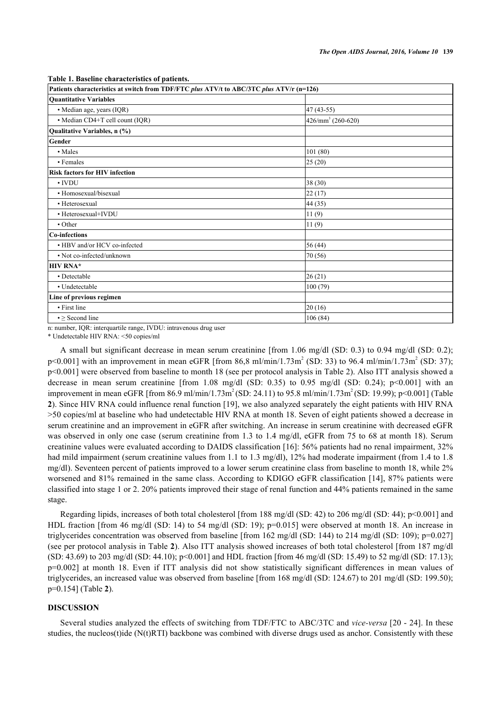**Table 1. Baseline characteristics of patients.**

| Patients characteristics at switch from TDF/FTC plus ATV/t to ABC/3TC plus ATV/r (n=126) |                             |  |  |  |  |
|------------------------------------------------------------------------------------------|-----------------------------|--|--|--|--|
| <b>Ouantitative Variables</b>                                                            |                             |  |  |  |  |
| · Median age, years (IQR)                                                                | 47 (43-55)                  |  |  |  |  |
| • Median CD4+T cell count (IQR)                                                          | $426/\text{mm}^3$ (260-620) |  |  |  |  |
| Qualitative Variables, n (%)                                                             |                             |  |  |  |  |
| Gender                                                                                   |                             |  |  |  |  |
| • Males                                                                                  | 101(80)                     |  |  |  |  |
| • Females                                                                                | 25(20)                      |  |  |  |  |
| <b>Risk factors for HIV infection</b>                                                    |                             |  |  |  |  |
| $\cdot$ IVDU                                                                             | 38 (30)                     |  |  |  |  |
| • Homosexual/bisexual                                                                    | 22(17)                      |  |  |  |  |
| • Heterosexual                                                                           | 44 (35)                     |  |  |  |  |
| • Heterosexual+IVDU                                                                      | 11(9)                       |  |  |  |  |
| • Other                                                                                  | 11(9)                       |  |  |  |  |
| Co-infections                                                                            |                             |  |  |  |  |
| • HBV and/or HCV co-infected                                                             | 56 (44)                     |  |  |  |  |
| • Not co-infected/unknown                                                                | 70 (56)                     |  |  |  |  |
| <b>HIV RNA*</b>                                                                          |                             |  |  |  |  |
| • Detectable                                                                             | 26(21)                      |  |  |  |  |
| • Undetectable                                                                           | 100(79)                     |  |  |  |  |
| Line of previous regimen                                                                 |                             |  |  |  |  |
| • First line                                                                             | 20(16)                      |  |  |  |  |
| $\bullet \geq$ Second line                                                               | 106(84)                     |  |  |  |  |

n: number, IQR: interquartile range, IVDU: intravenous drug user

\* Undetectable HIV RNA: <50 copies/ml

A small but significant decrease in mean serum creatinine [from 1.06 mg/dl (SD: 0.3) to 0.94 mg/dl (SD: 0.2);  $p<0.001$ ] with an improvement in mean eGFR [from 86,8 ml/min/1.73m<sup>2</sup> (SD: 33) to 96.4 ml/min/1.73m<sup>2</sup> (SD: 37); p<0.001] were observed from baseline to month 18 (see per protocol analysis in [Table 2](#page-4-0)). Also ITT analysis showed a decrease in mean serum creatinine [from 1.08 mg/dl (SD: 0.35) to 0.95 mg/dl (SD: 0.24); p<0.001] with an improvement in mean eGFR [from 86.9 ml/min/1.73m<sup>2</sup> (SD: 24.11) to 95.8 ml/min/1.73m<sup>2</sup> (SD: 19.99); p<0.001] ([Table](#page-4-0) **[2](#page-4-0)**). Since HIV RNA could influence renal function [[19\]](#page-6-16), we also analyzed separately the eight patients with HIV RNA >50 copies/ml at baseline who had undetectable HIV RNA at month 18. Seven of eight patients showed a decrease in serum creatinine and an improvement in eGFR after switching. An increase in serum creatinine with decreased eGFR was observed in only one case (serum creatinine from 1.3 to 1.4 mg/dl, eGFR from 75 to 68 at month 18). Serum creatinine values were evaluated according to DAIDS classification [[16\]](#page-6-13): 56% patients had no renal impairment, 32% had mild impairment (serum creatinine values from 1.1 to 1.3 mg/dl), 12% had moderate impairment (from 1.4 to 1.8 mg/dl). Seventeen percent of patients improved to a lower serum creatinine class from baseline to month 18, while 2% worsened and 81% remained in the same class. According to KDIGO eGFR classification [[14\]](#page-6-11), 87% patients were classified into stage 1 or 2. 20% patients improved their stage of renal function and 44% patients remained in the same stage.

Regarding lipids, increases of both total cholesterol [from 188 mg/dl (SD: 42) to 206 mg/dl (SD: 44); p<0.001] and HDL fraction [from 46 mg/dl (SD: 14) to 54 mg/dl (SD: 19); p=0.015] were observed at month 18. An increase in triglycerides concentration was observed from baseline [from 162 mg/dl (SD: 144) to 214 mg/dl (SD: 109); p=0.027] (see per protocol analysis in [Table](#page-4-0) **[2](#page-4-0)**). Also ITT analysis showed increases of both total cholesterol [from 187 mg/dl (SD: 43.69) to 203 mg/dl (SD: 44.10); p<0.001] and HDL fraction [from 46 mg/dl (SD: 15.49) to 52 mg/dl (SD: 17.13); p=0.002] at month 18. Even if ITT analysis did not show statistically significant differences in mean values of triglycerides, an increased value was observed from baseline [from 168 mg/dl (SD: 124.67) to 201 mg/dl (SD: 199.50); p=0.154] (Table **[2](#page-4-0)**).

## **DISCUSSION**

Several studies analyzed the effects of switching from TDF/FTC to ABC/3TC and *vice-versa* [[20](#page-6-17) - [24\]](#page-7-0). In these studies, the nucleos(t)ide (N(t)RTI) backbone was combined with diverse drugs used as anchor. Consistently with these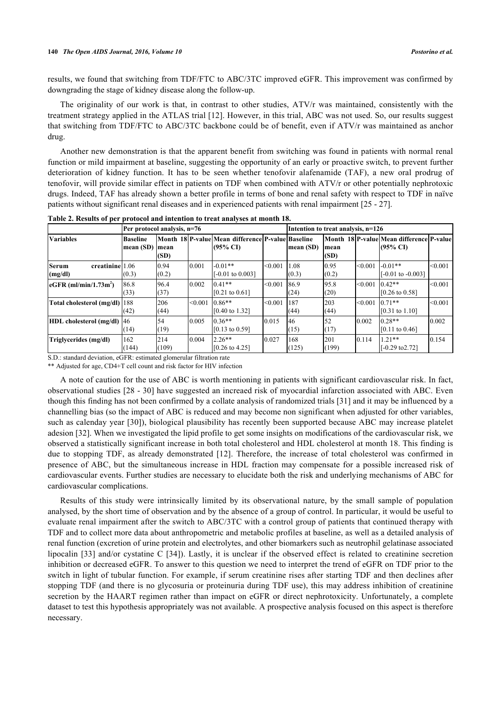results, we found that switching from TDF/FTC to ABC/3TC improved eGFR. This improvement was confirmed by downgrading the stage of kidney disease along the follow-up.

The originality of our work is that, in contrast to other studies, ATV/r was maintained, consistently with the treatment strategy applied in the ATLAS trial [[12](#page-6-9)]. However, in this trial, ABC was not used. So, our results suggest that switching from TDF/FTC to ABC/3TC backbone could be of benefit, even if ATV/r was maintained as anchor drug.

Another new demonstration is that the apparent benefit from switching was found in patients with normal renal function or mild impairment at baseline, suggesting the opportunity of an early or proactive switch, to prevent further deterioration of kidney function. It has to be seen whether tenofovir alafenamide (TAF), a new oral prodrug of tenofovir, will provide similar effect in patients on TDF when combined with ATV/r or other potentially nephrotoxic drugs. Indeed, TAF has already shown a better profile in terms of bone and renal safety with respect to TDF in naïve patients without significant renal diseases and in experienced patients with renal impairment [\[25](#page-7-1) - [27\]](#page-7-2).

|                                             | Per protocol analysis, n=76  |               |         |                                                                          | Intention to treat analysis, n=126 |               |                |         |                                                      |         |
|---------------------------------------------|------------------------------|---------------|---------|--------------------------------------------------------------------------|------------------------------------|---------------|----------------|---------|------------------------------------------------------|---------|
| <b>Variables</b>                            | <b>Baseline</b><br>mean (SD) | mean<br>(SD)  |         | Month 18 P-value Mean difference P-value Baseline<br>$(95\% \text{ CI})$ |                                    | mean (SD)     | Imean<br>(SD)  |         | Month_18 P-value Mean difference P-value<br>(95% CI) |         |
| creatinine 1.06<br>Serum<br>(mg/dl)         | (0.3)                        | 0.94<br>(0.2) | 0.001   | $-0.01**$<br>$[-0.01 \text{ to } 0.003]$                                 | < 0.001                            | 1.08<br>(0.3) | 10.95<br>(0.2) | < 0.001 | $-0.01**$<br>$[-0.01 \text{ to } -0.003]$            | < 0.001 |
| $\epsilon$ GFR (ml/min/1.73m <sup>2</sup> ) | 86.8<br>(33)                 | 96.4<br>(37)  | 0.002   | $0.41**$<br>$[0.21 \text{ to } 0.61]$                                    | < 0.001                            | 86.9<br>(24)  | 95.8<br>(20)   | < 0.001 | $0.42**$<br>$[0.26 \text{ to } 0.58]$                | < 0.001 |
| Total cholesterol (mg/dl)   188             | (42)                         | 206<br>(44)   | < 0.001 | $0.86**$<br>$[0.40 \text{ to } 1.32]$                                    | < 0.001                            | 187<br>(44)   | 203<br>(44)    | < 0.001 | $0.71**$<br>$[0.31 \text{ to } 1.10]$                | < 0.001 |
| HDL cholesterol (mg/dl) 46                  | (14)                         | 54<br>(19)    | 0.005   | $0.36**$<br>$[0.13 \text{ to } 0.59]$                                    | 0.015                              | 46<br>(15)    | 52<br>(17)     | 10.002  | $0.28**$<br>$[0.11 \text{ to } 0.46]$                | 0.002   |
| Triglycerides (mg/dl)                       | 162<br>(144)                 | 214<br>(109)  | 0.004   | $2.26**$<br>$[0.26 \text{ to } 4.25]$                                    | 0.027                              | 168<br>(125)  | 201<br>(199)   | 0.114   | $1.21**$<br>$[-0.29 \text{ to } 2.72]$               | 0.154   |

<span id="page-4-0"></span>**Table 2. Results of per protocol and intention to treat analyses at month 18.**

S.D.: standard deviation, eGFR: estimated glomerular filtration rate

\*\* Adjusted for age, CD4+T cell count and risk factor for HIV infection

A note of caution for the use of ABC is worth mentioning in patients with significant cardiovascular risk. In fact, observational studies [[28](#page-7-3) - [30\]](#page-7-4) have suggested an increaed risk of myocardial infarction associated with ABC. Even though this finding has not been confirmed by a collate analysis of randomized trials [\[31\]](#page-7-5) and it may be influenced by a channelling bias (so the impact of ABC is reduced and may become non significant when adjusted for other variables, such as calenday year [[30\]](#page-7-4)), biological plausibility has recently been supported because ABC may increase platelet adesion [\[32](#page-7-6)]. When we investigated the lipid profile to get some insights on modifications of the cardiovascular risk, we observed a statistically significant increase in both total cholesterol and HDL cholesterol at month 18. This finding is due to stopping TDF, as already demonstrated[[12](#page-6-9)]. Therefore, the increase of total cholesterol was confirmed in presence of ABC, but the simultaneous increase in HDL fraction may compensate for a possible increased risk of cardiovascular events. Further studies are necessary to elucidate both the risk and underlying mechanisms of ABC for cardiovascular complications.

Results of this study were intrinsically limited by its observational nature, by the small sample of population analysed, by the short time of observation and by the absence of a group of control. In particular, it would be useful to evaluate renal impairment after the switch to ABC/3TC with a control group of patients that continued therapy with TDF and to collect more data about anthropometric and metabolic profiles at baseline, as well as a detailed analysis of renal function (excretion of urine protein and electrolytes, and other biomarkers such as neutrophil gelatinase associated lipocalin [[33\]](#page-7-7) and/or cystatine C [[34](#page-7-8)]). Lastly, it is unclear if the observed effect is related to creatinine secretion inhibition or decreased eGFR. To answer to this question we need to interpret the trend of eGFR on TDF prior to the switch in light of tubular function. For example, if serum creatinine rises after starting TDF and then declines after stopping TDF (and there is no glycosuria or proteinuria during TDF use), this may address inhibition of creatinine secretion by the HAART regimen rather than impact on eGFR or direct nephrotoxicity. Unfortunately, a complete dataset to test this hypothesis appropriately was not available. A prospective analysis focused on this aspect is therefore necessary.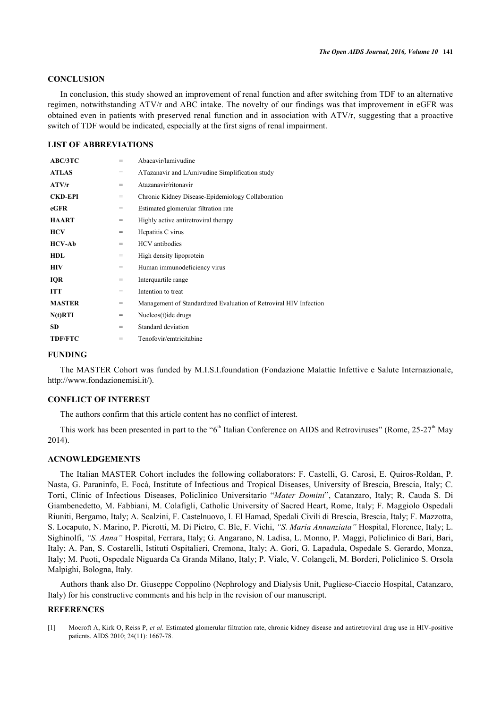# **CONCLUSION**

In conclusion, this study showed an improvement of renal function and after switching from TDF to an alternative regimen, notwithstanding ATV/r and ABC intake. The novelty of our findings was that improvement in eGFR was obtained even in patients with preserved renal function and in association with ATV/r, suggesting that a proactive switch of TDF would be indicated, especially at the first signs of renal impairment.

## **LIST OF ABBREVIATIONS**

| ABC/3TC        | $=$ | Abacavir/lamivudine                                               |
|----------------|-----|-------------------------------------------------------------------|
| <b>ATLAS</b>   | $=$ | ATazanavir and LAmivudine Simplification study                    |
| ATV/r          | $=$ | Atazanavir/ritonavir                                              |
| <b>CKD-EPI</b> | $=$ | Chronic Kidney Disease-Epidemiology Collaboration                 |
| eGFR           | $=$ | Estimated glomerular filtration rate                              |
| <b>HAART</b>   | $=$ | Highly active antiretroviral therapy                              |
| <b>HCV</b>     | $=$ | Hepatitis C virus                                                 |
| <b>HCV-Ab</b>  | $=$ | <b>HCV</b> antibodies                                             |
| <b>HDL</b>     | $=$ | High density lipoprotein                                          |
| <b>HIV</b>     | $=$ | Human immunodeficiency virus                                      |
| <b>IQR</b>     | $=$ | Interquartile range                                               |
| ITT            | $=$ | Intention to treat                                                |
| <b>MASTER</b>  | $=$ | Management of Standardized Evaluation of Retroviral HIV Infection |
| $N(t)$ RTI     | $=$ | Nucleos(t) ide drugs                                              |
| <b>SD</b>      | $=$ | Standard deviation                                                |
| <b>TDF/FTC</b> | $=$ | Tenofovir/emtricitabine                                           |
|                |     |                                                                   |

#### **FUNDING**

The MASTER Cohort was funded by M.I.S.I.foundation (Fondazione Malattie Infettive e Salute Internazionale, <http://www.fondazionemisi.it/>).

## **CONFLICT OF INTEREST**

The authors confirm that this article content has no conflict of interest.

This work has been presented in part to the " $6<sup>th</sup>$  Italian Conference on AIDS and Retroviruses" (Rome, 25-27<sup>th</sup> May 2014).

## **ACNOWLEDGEMENTS**

The Italian MASTER Cohort includes the following collaborators: F. Castelli, G. Carosi, E. Quiros-Roldan, P. Nasta, G. Paraninfo, E. Focà, Institute of Infectious and Tropical Diseases, University of Brescia, Brescia, Italy; C. Torti, Clinic of Infectious Diseases, Policlinico Universitario "*Mater Domini*", Catanzaro, Italy; R. Cauda S. Di Giambenedetto, M. Fabbiani, M. Colafigli, Catholic University of Sacred Heart, Rome, Italy; F. Maggiolo Ospedali Riuniti, Bergamo, Italy; A. Scalzini, F. Castelnuovo, I. El Hamad, Spedali Civili di Brescia, Brescia, Italy; F. Mazzotta, S. Locaputo, N. Marino, P. Pierotti, M. Di Pietro, C. Ble, F. Vichi, *"S. Maria Annunziata"* Hospital, Florence, Italy; L. Sighinolfi, *"S. Anna"* Hospital, Ferrara, Italy; G. Angarano, N. Ladisa, L. Monno, P. Maggi, Policlinico di Bari, Bari, Italy; A. Pan, S. Costarelli, Istituti Ospitalieri, Cremona, Italy; A. Gori, G. Lapadula, Ospedale S. Gerardo, Monza, Italy; M. Puoti, Ospedale Niguarda Ca Granda Milano, Italy; P. Viale, V. Colangeli, M. Borderi, Policlinico S. Orsola Malpighi, Bologna, Italy.

Authors thank also Dr. Giuseppe Coppolino (Nephrology and Dialysis Unit, Pugliese-Ciaccio Hospital, Catanzaro, Italy) for his constructive comments and his help in the revision of our manuscript.

#### **REFERENCES**

<span id="page-5-0"></span>[1] Mocroft A, Kirk O, Reiss P, *et al.* Estimated glomerular filtration rate, chronic kidney disease and antiretroviral drug use in HIV-positive patients. AIDS 2010; 24(11): 1667-78.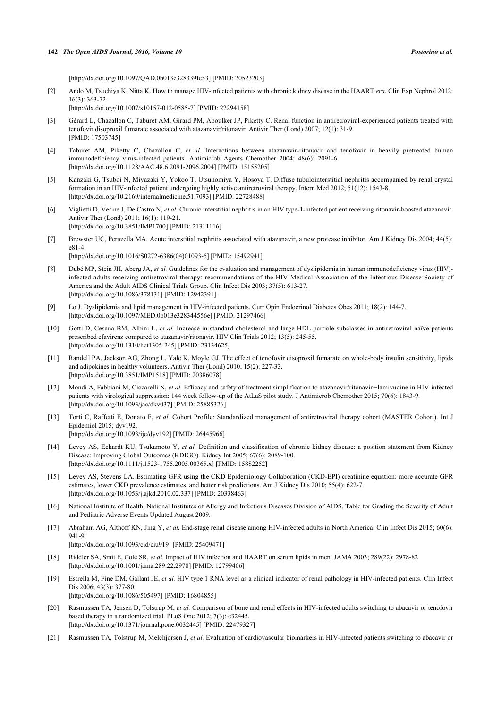#### **142** *The Open AIDS Journal, 2016, Volume 10 Postorino et al.*

[\[http://dx.doi.org/10.1097/QAD.0b013e328339fe53\]](http://dx.doi.org/10.1097/QAD.0b013e328339fe53) [PMID: [20523203](http://www.ncbi.nlm.nih.gov/pubmed/20523203)]

<span id="page-6-0"></span>[2] Ando M, Tsuchiya K, Nitta K. How to manage HIV-infected patients with chronic kidney disease in the HAART *era*. Clin Exp Nephrol 2012; 16(3): 363-72.

[\[http://dx.doi.org/10.1007/s10157-012-0585-7\]](http://dx.doi.org/10.1007/s10157-012-0585-7) [PMID: [22294158](http://www.ncbi.nlm.nih.gov/pubmed/22294158)]

- <span id="page-6-1"></span>[3] Gérard L, Chazallon C, Taburet AM, Girard PM, Aboulker JP, Piketty C. Renal function in antiretroviral-experienced patients treated with tenofovir disoproxil fumarate associated with atazanavir/ritonavir. Antivir Ther (Lond) 2007; 12(1): 31-9. [PMID: [17503745\]](http://www.ncbi.nlm.nih.gov/pubmed/17503745)
- <span id="page-6-2"></span>[4] Taburet AM, Piketty C, Chazallon C, *et al.* Interactions between atazanavir-ritonavir and tenofovir in heavily pretreated human immunodeficiency virus-infected patients. Antimicrob Agents Chemother 2004; 48(6): 2091-6. [\[http://dx.doi.org/10.1128/AAC.48.6.2091-2096.2004](http://dx.doi.org/10.1128/AAC.48.6.2091-2096.2004)] [PMID: [15155205\]](http://www.ncbi.nlm.nih.gov/pubmed/15155205)
- <span id="page-6-3"></span>[5] Kanzaki G, Tsuboi N, Miyazaki Y, Yokoo T, Utsunomiya Y, Hosoya T. Diffuse tubulointerstitial nephritis accompanied by renal crystal formation in an HIV-infected patient undergoing highly active antiretroviral therapy. Intern Med 2012; 51(12): 1543-8. [\[http://dx.doi.org/10.2169/internalmedicine.51.7093\]](http://dx.doi.org/10.2169/internalmedicine.51.7093) [PMID: [22728488](http://www.ncbi.nlm.nih.gov/pubmed/22728488)]
- <span id="page-6-4"></span>[6] Viglietti D, Verine J, De Castro N, *et al.* Chronic interstitial nephritis in an HIV type-1-infected patient receiving ritonavir-boosted atazanavir. Antivir Ther (Lond) 2011; 16(1): 119-21. [\[http://dx.doi.org/10.3851/IMP1700](http://dx.doi.org/10.3851/IMP1700)] [PMID: [21311116\]](http://www.ncbi.nlm.nih.gov/pubmed/21311116)
- <span id="page-6-5"></span>[7] Brewster UC, Perazella MA. Acute interstitial nephritis associated with atazanavir, a new protease inhibitor. Am J Kidney Dis 2004; 44(5): e81-4. [\[http://dx.doi.org/10.1016/S0272-6386\(04\)01093-5\]](http://dx.doi.org/10.1016/S0272-6386(04)01093-5) [PMID: [15492941](http://www.ncbi.nlm.nih.gov/pubmed/15492941)]
- <span id="page-6-6"></span>[8] Dubé MP, Stein JH, Aberg JA, *et al.* Guidelines for the evaluation and management of dyslipidemia in human immunodeficiency virus (HIV) infected adults receiving antiretroviral therapy: recommendations of the HIV Medical Association of the Infectious Disease Society of America and the Adult AIDS Clinical Trials Group. Clin Infect Dis 2003; 37(5): 613-27. [\[http://dx.doi.org/10.1086/378131\]](http://dx.doi.org/10.1086/378131) [PMID: [12942391](http://www.ncbi.nlm.nih.gov/pubmed/12942391)]
- [9] Lo J. Dyslipidemia and lipid management in HIV-infected patients. Curr Opin Endocrinol Diabetes Obes 2011; 18(2): 144-7. [\[http://dx.doi.org/10.1097/MED.0b013e328344556e\]](http://dx.doi.org/10.1097/MED.0b013e328344556e) [PMID: [21297466](http://www.ncbi.nlm.nih.gov/pubmed/21297466)]
- <span id="page-6-7"></span>[10] Gotti D, Cesana BM, Albini L, *et al.* Increase in standard cholesterol and large HDL particle subclasses in antiretroviral-naïve patients prescribed efavirenz compared to atazanavir/ritonavir. HIV Clin Trials 2012; 13(5): 245-55. [\[http://dx.doi.org/10.1310/hct1305-245](http://dx.doi.org/10.1310/hct1305-245)] [PMID: [23134625\]](http://www.ncbi.nlm.nih.gov/pubmed/23134625)
- <span id="page-6-8"></span>[11] Randell PA, Jackson AG, Zhong L, Yale K, Moyle GJ. The effect of tenofovir disoproxil fumarate on whole-body insulin sensitivity, lipids and adipokines in healthy volunteers. Antivir Ther (Lond) 2010; 15(2): 227-33. [\[http://dx.doi.org/10.3851/IMP1518](http://dx.doi.org/10.3851/IMP1518)] [PMID: [20386078\]](http://www.ncbi.nlm.nih.gov/pubmed/20386078)
- <span id="page-6-9"></span>[12] Mondi A, Fabbiani M, Ciccarelli N, et al. Efficacy and safety of treatment simplification to atazanavir/ritonavir+lamivudine in HIV-infected patients with virological suppression: 144 week follow-up of the AtLaS pilot study. J Antimicrob Chemother 2015; 70(6): 1843-9. [\[http://dx.doi.org/10.1093/jac/dkv037](http://dx.doi.org/10.1093/jac/dkv037)] [PMID: [25885326\]](http://www.ncbi.nlm.nih.gov/pubmed/25885326)
- <span id="page-6-10"></span>[13] Torti C, Raffetti E, Donato F, *et al.* Cohort Profile: Standardized management of antiretroviral therapy cohort (MASTER Cohort). Int J Epidemiol 2015; dyv192. [\[http://dx.doi.org/10.1093/ije/dyv192](http://dx.doi.org/10.1093/ije/dyv192)] [PMID: [26445966\]](http://www.ncbi.nlm.nih.gov/pubmed/26445966)
- <span id="page-6-11"></span>[14] Levey AS, Eckardt KU, Tsukamoto Y, *et al.* Definition and classification of chronic kidney disease: a position statement from Kidney Disease: Improving Global Outcomes (KDIGO). Kidney Int 2005; 67(6): 2089-100. [\[http://dx.doi.org/10.1111/j.1523-1755.2005.00365.x\]](http://dx.doi.org/10.1111/j.1523-1755.2005.00365.x) [PMID: [15882252](http://www.ncbi.nlm.nih.gov/pubmed/15882252)]
- <span id="page-6-12"></span>[15] Levey AS, Stevens LA. Estimating GFR using the CKD Epidemiology Collaboration (CKD-EPI) creatinine equation: more accurate GFR estimates, lower CKD prevalence estimates, and better risk predictions. Am J Kidney Dis 2010; 55(4): 622-7. [\[http://dx.doi.org/10.1053/j.ajkd.2010.02.337\]](http://dx.doi.org/10.1053/j.ajkd.2010.02.337) [PMID: [20338463](http://www.ncbi.nlm.nih.gov/pubmed/20338463)]
- <span id="page-6-13"></span>[16] National Institute of Health, National Institutes of Allergy and Infectious Diseases Division of AIDS, Table for Grading the Severity of Adult and Pediatric Adverse Events Updated August 2009.
- <span id="page-6-14"></span>[17] Abraham AG, Althoff KN, Jing Y, et al. End-stage renal disease among HIV-infected adults in North America. Clin Infect Dis 2015; 60(6): 941-9. [\[http://dx.doi.org/10.1093/cid/ciu919\]](http://dx.doi.org/10.1093/cid/ciu919) [PMID: [25409471](http://www.ncbi.nlm.nih.gov/pubmed/25409471)]
- <span id="page-6-15"></span>[18] Riddler SA, Smit E, Cole SR, *et al.* Impact of HIV infection and HAART on serum lipids in men. JAMA 2003; 289(22): 2978-82. [\[http://dx.doi.org/10.1001/jama.289.22.2978](http://dx.doi.org/10.1001/jama.289.22.2978)] [PMID: [12799406\]](http://www.ncbi.nlm.nih.gov/pubmed/12799406)
- <span id="page-6-16"></span>[19] Estrella M, Fine DM, Gallant JE, *et al.* HIV type 1 RNA level as a clinical indicator of renal pathology in HIV-infected patients. Clin Infect Dis 2006; 43(3): 377-80. [\[http://dx.doi.org/10.1086/505497\]](http://dx.doi.org/10.1086/505497) [PMID: [16804855](http://www.ncbi.nlm.nih.gov/pubmed/16804855)]
- <span id="page-6-17"></span>[20] Rasmussen TA, Jensen D, Tolstrup M, *et al.* Comparison of bone and renal effects in HIV-infected adults switching to abacavir or tenofovir based therapy in a randomized trial. PLoS One 2012; 7(3): e32445. [\[http://dx.doi.org/10.1371/journal.pone.0032445](http://dx.doi.org/10.1371/journal.pone.0032445)] [PMID: [22479327\]](http://www.ncbi.nlm.nih.gov/pubmed/22479327)
- [21] Rasmussen TA, Tolstrup M, Melchjorsen J, *et al.* Evaluation of cardiovascular biomarkers in HIV-infected patients switching to abacavir or